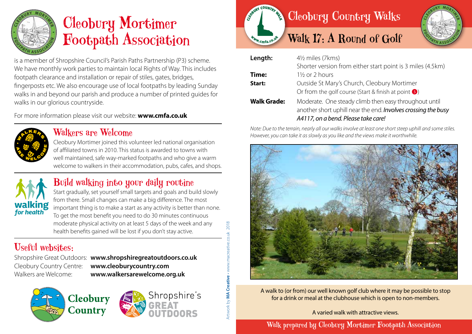

# Cleobury Mortimer Footpath Association

is a member of Shropshire Council's Parish Paths Partnership (P3) scheme. We have monthly work parties to maintain local Rights of Way. This includes footpath clearance and installation or repair of stiles, gates, bridges, fingerposts etc. We also encourage use of local footpaths by leading Sunday walks in and beyond our parish and produce a number of printed guides for walks in our glorious countryside.

For more information please visit our website: **www.cmfa.co.uk**



#### Walkers are Welcome

Cleobury Mortimer joined this volunteer led national organisation of affiliated towns in 2010. This status is awarded to towns with well maintained, safe way-marked footpaths and who give a warm welcome to walkers in their accommodation, pubs, cafes, and shops.



### Build walking into your daily routine

Start gradually, set yourself small targets and goals and build slowly from there. Small changes can make a big difference. The most important thing is to make a start as any activity is better than none. To get the most benefit you need to do 30 minutes continuous moderate physical activity on at least 5 days of the week and any health benefits gained will be lost if you don't stay active.

## Useful websites:

Shropshire Great Outdoors: **www.shropshiregreatoutdoors.co.uk**  Cleobury Country Centre: **www.cleoburycountry.com** Walkers are Welcome: **www.walkersarewelcome.org.uk**

Artwork by **MA Creative** • www.macreative.co.uk 2018Artwork by **MA Creative -** www.macreative.co.uk

2018







| Length:            | 41/2 miles (7kms)                                                                                                                                             |
|--------------------|---------------------------------------------------------------------------------------------------------------------------------------------------------------|
|                    | Shorter version from either start point is 3 miles (4.5km)                                                                                                    |
| Time:              | $1\frac{1}{2}$ or 2 hours                                                                                                                                     |
| Start:             | Outside St Mary's Church, Cleobury Mortimer                                                                                                                   |
|                    | Or from the golf course (Start & finish at point $\bullet$ )                                                                                                  |
| <b>Walk Grade:</b> | Moderate. One steady climb then easy throughout until<br>another short uphill near the end. Involves crossing the busy<br>A4117, on a bend. Please take care! |

*Note: Due to the terrain, nearly all our walks involve at least one short steep uphill and some stiles. However, you can take it as slowly as you like and the views make it worthwhile.*



A walk to (or from) our well known golf club where it may be possible to stop for a drink or meal at the clubhouse which is open to non-members.

A varied walk with attractive views.

Walk prepared by Cleobury Mortimer Footpath Association